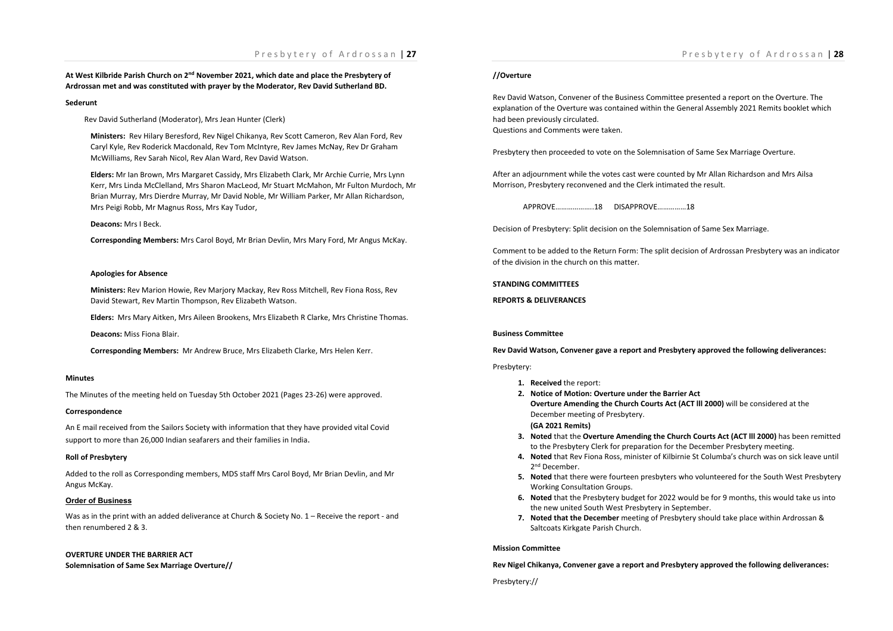# Presbytery of Ardrossan | **27**

**At West Kilbride Parish Church on 2nd November 2021, which date and place the Presbytery of Ardrossan met and was constituted with prayer by the Moderator, Rev David Sutherland BD.**

#### **Sederunt**

Rev David Sutherland (Moderator), Mrs Jean Hunter (Clerk)

**Ministers:** Rev Hilary Beresford, Rev Nigel Chikanya, Rev Scott Cameron, Rev Alan Ford, Rev Caryl Kyle, Rev Roderick Macdonald, Rev Tom McIntyre, Rev James McNay, Rev Dr Graham McWilliams, Rev Sarah Nicol, Rev Alan Ward, Rev David Watson.

**Elders:** Mr Ian Brown, Mrs Margaret Cassidy, Mrs Elizabeth Clark, Mr Archie Currie, Mrs Lynn Kerr, Mrs Linda McClelland, Mrs Sharon MacLeod, Mr Stuart McMahon, Mr Fulton Murdoch, Mr Brian Murray, Mrs Dierdre Murray, Mr David Noble, Mr William Parker, Mr Allan Richardson, Mrs Peigi Robb, Mr Magnus Ross, Mrs Kay Tudor,

**Deacons:** Mrs I Beck.

**Corresponding Members:** Mrs Carol Boyd, Mr Brian Devlin, Mrs Mary Ford, Mr Angus McKay.

#### **Apologies for Absence**

**Ministers:** Rev Marion Howie, Rev Marjory Mackay, Rev Ross Mitchell, Rev Fiona Ross, Rev David Stewart, Rev Martin Thompson, Rev Elizabeth Watson.

**Elders:** Mrs Mary Aitken, Mrs Aileen Brookens, Mrs Elizabeth R Clarke, Mrs Christine Thomas.

**Deacons:** Miss Fiona Blair.

**Corresponding Members:** Mr Andrew Bruce, Mrs Elizabeth Clarke, Mrs Helen Kerr.

## **Minutes**

The Minutes of the meeting held on Tuesday 5th October 2021 (Pages 23-26) were approved.

#### **Correspondence**

An E mail received from the Sailors Society with information that they have provided vital Covid support to more than 26,000 Indian seafarers and their families in India.

## **Roll of Presbytery**

Added to the roll as Corresponding members, MDS staff Mrs Carol Boyd, Mr Brian Devlin, and Mr Angus McKay.

## **Order of Business**

Was as in the print with an added deliverance at Church & Society No. 1 – Receive the report - and then renumbered 2 & 3.

## **OVERTURE UNDER THE BARRIER ACT Solemnisation of Same Sex Marriage Overture//**

# Presbytery of Ardrossan | **28**

## **//Overture**

Rev David Watson, Convener of the Business Committee presented a report on the Overture. The explanation of the Overture was contained within the General Assembly 2021 Remits booklet which had been previously circulated. Questions and Comments were taken.

Presbytery then proceeded to vote on the Solemnisation of Same Sex Marriage Overture.

After an adjournment while the votes cast were counted by Mr Allan Richardson and Mrs Ailsa Morrison, Presbytery reconvened and the Clerk intimated the result.

APPROVE………………..18 DISAPPROVE……………18

Decision of Presbytery: Split decision on the Solemnisation of Same Sex Marriage.

Comment to be added to the Return Form: The split decision of Ardrossan Presbytery was an indicator of the division in the church on this matter.

**STANDING COMMITTEES**

**REPORTS & DELIVERANCES**

## **Business Committee**

**Rev David Watson, Convener gave a report and Presbytery approved the following deliverances:**

## Presbytery:

- **1. Received** the report:
- **2. Notice of Motion: Overture under the Barrier Act Overture Amending the Church Courts Act (ACT lll 2000)** will be considered at the December meeting of Presbytery. **(GA 2021 Remits)**
- **3. Noted** that the **Overture Amending the Church Courts Act (ACT lll 2000)** has been remitted to the Presbytery Clerk for preparation for the December Presbytery meeting.
- **4. Noted** that Rev Fiona Ross, minister of Kilbirnie St Columba's church was on sick leave until 2nd December.
- **5. Noted** that there were fourteen presbyters who volunteered for the South West Presbytery Working Consultation Groups.
- **6. Noted** that the Presbytery budget for 2022 would be for 9 months, this would take us into the new united South West Presbytery in September.
- **7. Noted that the December** meeting of Presbytery should take place within Ardrossan & Saltcoats Kirkgate Parish Church.

#### **Mission Committee**

**Rev Nigel Chikanya, Convener gave a report and Presbytery approved the following deliverances:**

Presbytery://